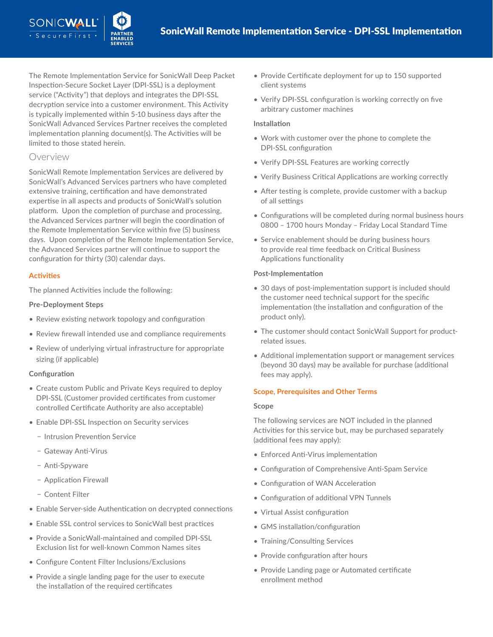The Remote Implementation Service for SonicWall Deep Packet Inspection-Secure Socket Layer (DPI-SSL) is a deployment service ("Activity") that deploys and integrates the DPI-SSL decryption service into a customer environment. This Activity is typically implemented within 5-10 business days after the SonicWall Advanced Services Partner receives the completed implementation planning document(s). The Activities will be limited to those stated herein.

# Overview

SONICWALI

SonicWall Remote Implementation Services are delivered by SonicWall's Advanced Services partners who have completed extensive training, certification and have demonstrated expertise in all aspects and products of SonicWall's solution platform. Upon the completion of purchase and processing, the Advanced Services partner will begin the coordination of the Remote Implementation Service within five (5) business days. Upon completion of the Remote Implementation Service, the Advanced Services partner will continue to support the configuration for thirty (30) calendar days.

## **Activities**

The planned Activities include the following:

## **Pre-Deployment Steps**

- Review existing network topology and configuration
- Review firewall intended use and compliance requirements
- Review of underlying virtual infrastructure for appropriate sizing (if applicable)

## **Configuration**

- Create custom Public and Private Keys required to deploy DPI-SSL (Customer provided certificates from customer controlled Certificate Authority are also acceptable)
- Enable DPI-SSL Inspection on Security services
	- − Intrusion Prevention Service
	- − Gateway Anti-Virus
	- − Anti-Spyware
	- − Application Firewall
	- − Content Filter
- Enable Server-side Authentication on decrypted connections
- Enable SSL control services to SonicWall best practices
- Provide a SonicWall-maintained and compiled DPI-SSL Exclusion list for well-known Common Names sites
- Configure Content Filter Inclusions/Exclusions
- Provide a single landing page for the user to execute the installation of the required certificates
- Provide Certificate deployment for up to 150 supported client systems
- Verify DPI-SSL configuration is working correctly on five arbitrary customer machines

## **Installation**

- Work with customer over the phone to complete the DPI-SSL configuration
- Verify DPI-SSL Features are working correctly
- Verify Business Critical Applications are working correctly
- After testing is complete, provide customer with a backup of all settings
- Configurations will be completed during normal business hours 0800 – 1700 hours Monday – Friday Local Standard Time
- Service enablement should be during business hours to provide real time feedback on Critical Business Applications functionality

#### **Post-Implementation**

- 30 days of post-implementation support is included should the customer need technical support for the specific implementation (the installation and configuration of the product only).
- The customer should contact SonicWall Support for productrelated issues.
- Additional implementation support or management services (beyond 30 days) may be available for purchase (additional fees may apply).

## **Scope, Prerequisites and Other Terms**

#### **Scope**

The following services are NOT included in the planned Activities for this service but, may be purchased separately (additional fees may apply):

- Enforced Anti-Virus implementation
- Configuration of Comprehensive Anti-Spam Service
- Configuration of WAN Acceleration
- Configuration of additional VPN Tunnels
- Virtual Assist configuration
- GMS installation/configuration
- Training/Consulting Services
- Provide configuration after hours
- Provide Landing page or Automated certificate enrollment method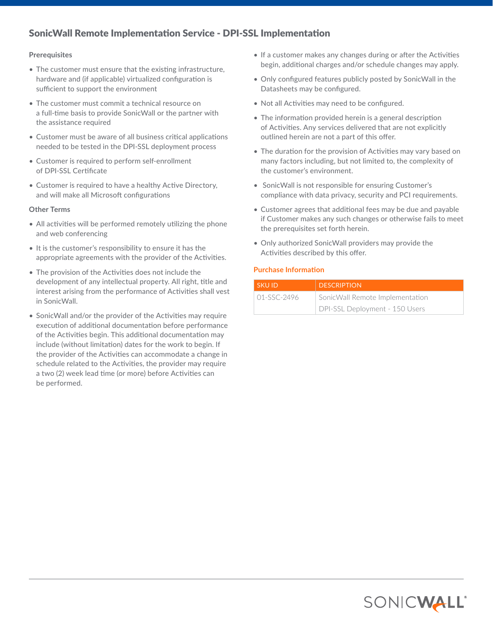# SonicWall Remote Implementation Service - DPI-SSL Implementation

## **Prerequisites**

- The customer must ensure that the existing infrastructure, hardware and (if applicable) virtualized configuration is sufficient to support the environment
- The customer must commit a technical resource on a full-time basis to provide SonicWall or the partner with the assistance required
- Customer must be aware of all business critical applications needed to be tested in the DPI-SSL deployment process
- Customer is required to perform self-enrollment of DPI-SSL Certificate
- Customer is required to have a healthy Active Directory, and will make all Microsoft configurations

#### **Other Terms**

- All activities will be performed remotely utilizing the phone and web conferencing
- It is the customer's responsibility to ensure it has the appropriate agreements with the provider of the Activities.
- The provision of the Activities does not include the development of any intellectual property. All right, title and interest arising from the performance of Activities shall vest in SonicWall.
- SonicWall and/or the provider of the Activities may require execution of additional documentation before performance of the Activities begin. This additional documentation may include (without limitation) dates for the work to begin. If the provider of the Activities can accommodate a change in schedule related to the Activities, the provider may require a two (2) week lead time (or more) before Activities can be performed.
- If a customer makes any changes during or after the Activities begin, additional charges and/or schedule changes may apply.
- Only configured features publicly posted by SonicWall in the Datasheets may be configured.
- Not all Activities may need to be configured.
- The information provided herein is a general description of Activities. Any services delivered that are not explicitly outlined herein are not a part of this offer.
- The duration for the provision of Activities may vary based on many factors including, but not limited to, the complexity of the customer's environment.
- SonicWall is not responsible for ensuring Customer's compliance with data privacy, security and PCI requirements.
- Customer agrees that additional fees may be due and payable if Customer makes any such changes or otherwise fails to meet the prerequisites set forth herein.
- Only authorized SonicWall providers may provide the Activities described by this offer.

# **Purchase Information**

| <b>SKUID</b> | <b>DESCRIPTION</b>              |
|--------------|---------------------------------|
| 01-SSC-2496  | SonicWall Remote Implementation |
|              | DPI-SSL Deployment - 150 Users  |